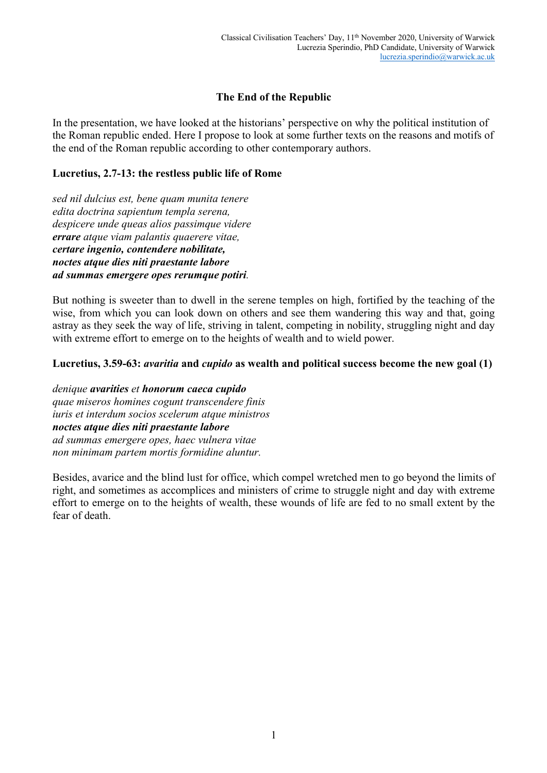# **The End of the Republic**

In the presentation, we have looked at the historians' perspective on why the political institution of the Roman republic ended. Here I propose to look at some further texts on the reasons and motifs of the end of the Roman republic according to other contemporary authors.

### **Lucretius, 2.7-13: the restless public life of Rome**

*sed nil dulcius est, bene quam munita tenere edita doctrina sapientum templa serena, despicere unde queas alios passimque videre errare atque viam palantis quaerere vitae, certare ingenio, contendere nobilitate, noctes atque dies niti praestante labore ad summas emergere opes rerumque potiri.*

But nothing is sweeter than to dwell in the serene temples on high, fortified by the teaching of the wise, from which you can look down on others and see them wandering this way and that, going astray as they seek the way of life, striving in talent, competing in nobility, struggling night and day with extreme effort to emerge on to the heights of wealth and to wield power.

# **Lucretius, 3.59-63:** *avaritia* **and** *cupido* **as wealth and political success become the new goal (1)**

*denique avarities et honorum caeca cupido quae miseros homines cogunt transcendere finis iuris et interdum socios scelerum atque ministros noctes atque dies niti praestante labore ad summas emergere opes, haec vulnera vitae non minimam partem mortis formidine aluntur.*

Besides, avarice and the blind lust for office, which compel wretched men to go beyond the limits of right, and sometimes as accomplices and ministers of crime to struggle night and day with extreme effort to emerge on to the heights of wealth, these wounds of life are fed to no small extent by the fear of death.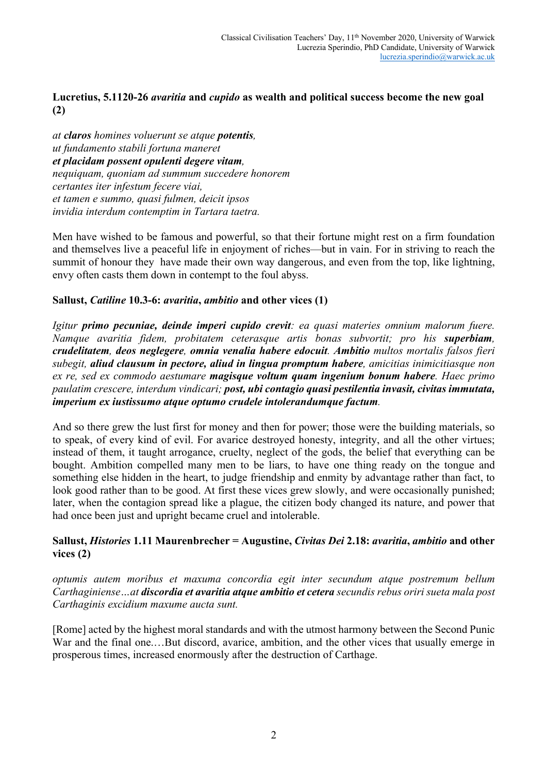# **Lucretius, 5.1120-26** *avaritia* **and** *cupido* **as wealth and political success become the new goal (2)**

*at claros homines voluerunt se atque potentis, ut fundamento stabili fortuna maneret et placidam possent opulenti degere vitam, nequiquam, quoniam ad summum succedere honorem certantes iter infestum fecere viai, et tamen e summo, quasi fulmen, deicit ipsos invidia interdum contemptim in Tartara taetra.*

Men have wished to be famous and powerful, so that their fortune might rest on a firm foundation and themselves live a peaceful life in enjoyment of riches—but in vain. For in striving to reach the summit of honour they have made their own way dangerous, and even from the top, like lightning, envy often casts them down in contempt to the foul abyss.

# **Sallust,** *Catiline* **10.3-6:** *avaritia***,** *ambitio* **and other vices (1)**

*Igitur primo pecuniae, deinde imperi cupido crevit: ea quasi materies omnium malorum fuere. Namque avaritia fidem, probitatem ceterasque artis bonas subvortit; pro his superbiam, crudelitatem, deos neglegere, omnia venalia habere edocuit. Ambitio multos mortalis falsos fieri subegit, aliud clausum in pectore, aliud in lingua promptum habere, amicitias inimicitiasque non ex re, sed ex commodo aestumare magisque voltum quam ingenium bonum habere. Haec primo paulatim crescere, interdum vindicari; post, ubi contagio quasi pestilentia invasit, civitas immutata, imperium ex iustissumo atque optumo crudele intolerandumque factum.*

And so there grew the lust first for money and then for power; those were the building materials, so to speak, of every kind of evil. For avarice destroyed honesty, integrity, and all the other virtues; instead of them, it taught arrogance, cruelty, neglect of the gods, the belief that everything can be bought. Ambition compelled many men to be liars, to have one thing ready on the tongue and something else hidden in the heart, to judge friendship and enmity by advantage rather than fact, to look good rather than to be good. At first these vices grew slowly, and were occasionally punished; later, when the contagion spread like a plague, the citizen body changed its nature, and power that had once been just and upright became cruel and intolerable.

#### **Sallust,** *Histories* **1.11 Maurenbrecher = Augustine,** *Civitas Dei* **2.18:** *avaritia***,** *ambitio* **and other vices (2)**

*optumis autem moribus et maxuma concordia egit inter secundum atque postremum bellum Carthaginiense…at discordia et avaritia atque ambitio et cetera secundis rebus oriri sueta mala post Carthaginis excidium maxume aucta sunt.*

[Rome] acted by the highest moral standards and with the utmost harmony between the Second Punic War and the final one.…But discord, avarice, ambition, and the other vices that usually emerge in prosperous times, increased enormously after the destruction of Carthage.